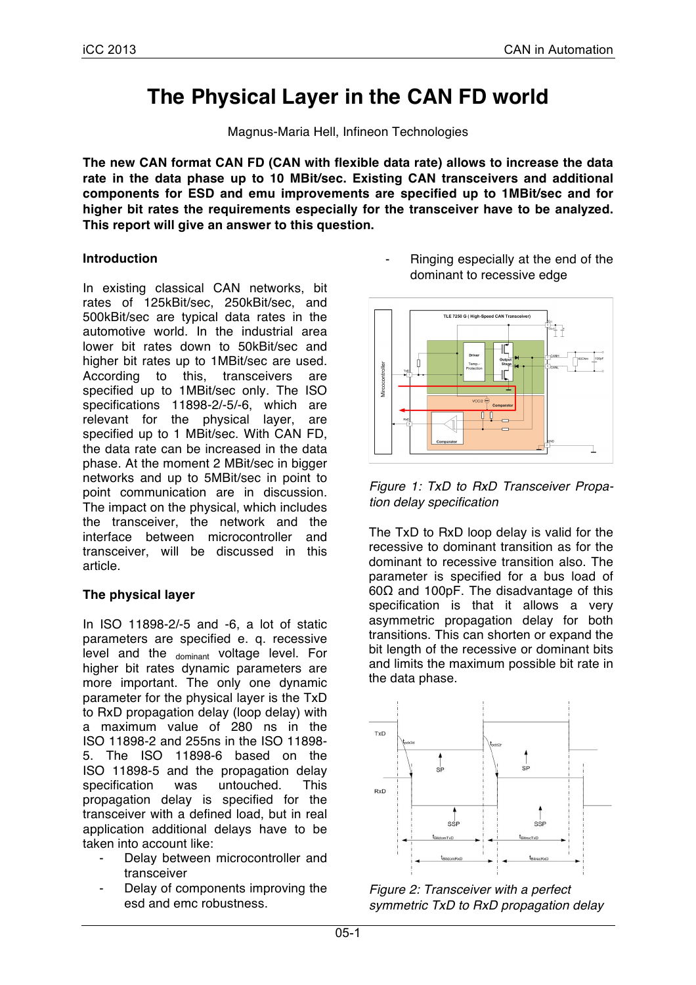# **The Physical Layer in the CAN FD world**

Magnus-Maria Hell, Infineon Technologies

**The new CAN format CAN FD (CAN with flexible data rate) allows to increase the data rate in the data phase up to 10 MBit/sec. Existing CAN transceivers and additional components for ESD and emu improvements are specified up to 1MBit/sec and for higher bit rates the requirements especially for the transceiver have to be analyzed. This report will give an answer to this question.**

## **Introduction**

In existing classical CAN networks, bit rates of 125kBit/sec, 250kBit/sec, and 500kBit/sec are typical data rates in the automotive world. In the industrial area lower bit rates down to 50kBit/sec and higher bit rates up to 1MBit/sec are used. According to this, transceivers are specified up to 1MBit/sec only. The ISO specifications 11898-2/-5/-6, which are relevant for the physical layer, are specified up to 1 MBit/sec. With CAN FD, the data rate can be increased in the data phase. At the moment 2 MBit/sec in bigger networks and up to 5MBit/sec in point to point communication are in discussion. The impact on the physical, which includes the transceiver, the network and the interface between microcontroller and transceiver, will be discussed in this article.

## **The physical layer**

In ISO 11898-2/-5 and -6, a lot of static parameters are specified e. q. recessive level and the dominant voltage level. For higher bit rates dynamic parameters are more important. The only one dynamic parameter for the physical layer is the TxD to RxD propagation delay (loop delay) with a maximum value of 280 ns in the ISO 11898-2 and 255ns in the ISO 11898- 5. The ISO 11898-6 based on the ISO 11898-5 and the propagation delay specification was untouched. This propagation delay is specified for the transceiver with a defined load, but in real application additional delays have to be taken into account like:

- Delay between microcontroller and transceiver
- Delay of components improving the esd and emc robustness.

Ringing especially at the end of the dominant to recessive edge



*Figure 1: TxD to RxD Transceiver Propation delay specification* 

The TxD to RxD loop delay is valid for the recessive to dominant transition as for the dominant to recessive transition also. The parameter is specified for a bus load of 60Ω and 100pF. The disadvantage of this specification is that it allows a very asymmetric propagation delay for both transitions. This can shorten or expand the bit length of the recessive or dominant bits and limits the maximum possible bit rate in the data phase.



*Figure 2: Transceiver with a perfect symmetric TxD to RxD propagation delay*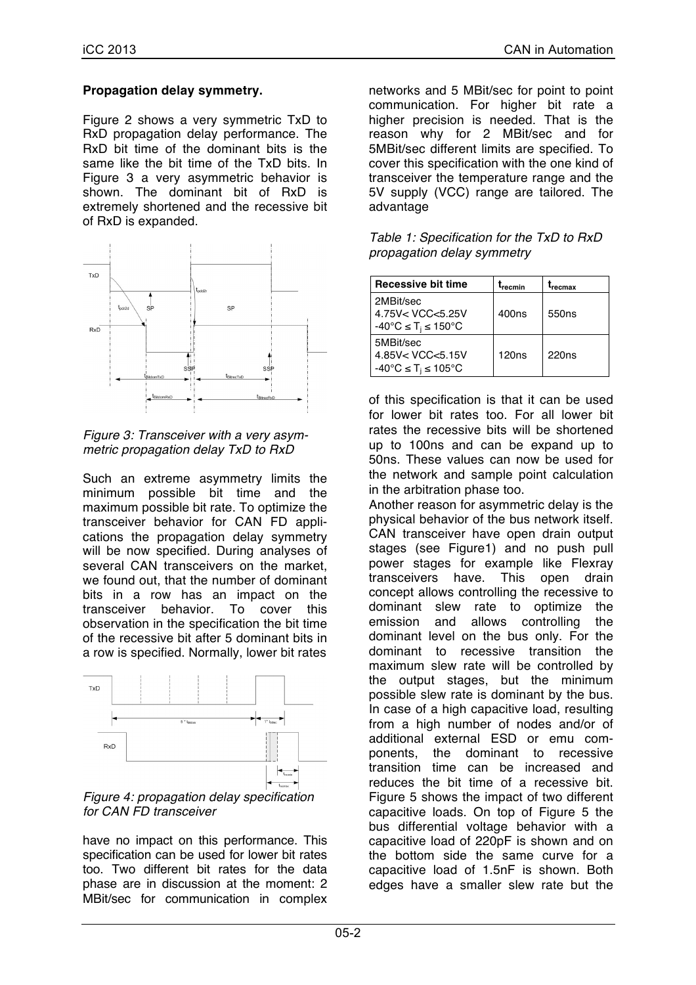#### **Propagation delay symmetry.**

Figure 2 shows a very symmetric TxD to RxD propagation delay performance. The RxD bit time of the dominant bits is the same like the bit time of the TxD bits. In Figure 3 a very asymmetric behavior is shown. The dominant bit of RxD is extremely shortened and the recessive bit of RxD is expanded.





Such an extreme asymmetry limits the minimum possible bit time and the maximum possible bit rate. To optimize the transceiver behavior for CAN FD applications the propagation delay symmetry will be now specified. During analyses of several CAN transceivers on the market, we found out, that the number of dominant bits in a row has an impact on the transceiver behavior. To cover this observation in the specification the bit time of the recessive bit after 5 dominant bits in a row is specified. Normally, lower bit rates



*Figure 4: propagation delay specification for CAN FD transceiver*

have no impact on this performance. This specification can be used for lower bit rates too. Two different bit rates for the data phase are in discussion at the moment: 2 MBit/sec for communication in complex networks and 5 MBit/sec for point to point communication. For higher bit rate a higher precision is needed. That is the reason why for 2 MBit/sec and for 5MBit/sec different limits are specified. To cover this specification with the one kind of transceiver the temperature range and the 5V supply (VCC) range are tailored. The advantage

| Table 1: Specification for the TxD to RxD |
|-------------------------------------------|
| propagation delay symmetry                |

| <b>Recessive bit time</b>                                       | T <sub>recmin</sub> | <b>L</b> recmax   |
|-----------------------------------------------------------------|---------------------|-------------------|
| 2MBit/sec<br>4.75V< VCC<5.25V<br>-40°C ≤ T <sub>i</sub> ≤ 150°C | 400ns               | 550 <sub>ns</sub> |
| 5MBit/sec<br>4.85V< VCC<5.15V<br>-40°C ≤ T <sub>i</sub> ≤ 105°C | 120ns               | 220 <sub>ns</sub> |

of this specification is that it can be used for lower bit rates too. For all lower bit rates the recessive bits will be shortened up to 100ns and can be expand up to 50ns. These values can now be used for the network and sample point calculation in the arbitration phase too.

Another reason for asymmetric delay is the physical behavior of the bus network itself. CAN transceiver have open drain output stages (see Figure1) and no push pull power stages for example like Flexray transceivers have. This open drain concept allows controlling the recessive to dominant slew rate to optimize the emission and allows controlling the dominant level on the bus only. For the dominant to recessive transition the maximum slew rate will be controlled by the output stages, but the minimum possible slew rate is dominant by the bus. In case of a high capacitive load, resulting from a high number of nodes and/or of additional external ESD or emu components, the dominant to recessive transition time can be increased and reduces the bit time of a recessive bit. Figure 5 shows the impact of two different capacitive loads. On top of Figure 5 the bus differential voltage behavior with a capacitive load of 220pF is shown and on the bottom side the same curve for a capacitive load of 1.5nF is shown. Both edges have a smaller slew rate but the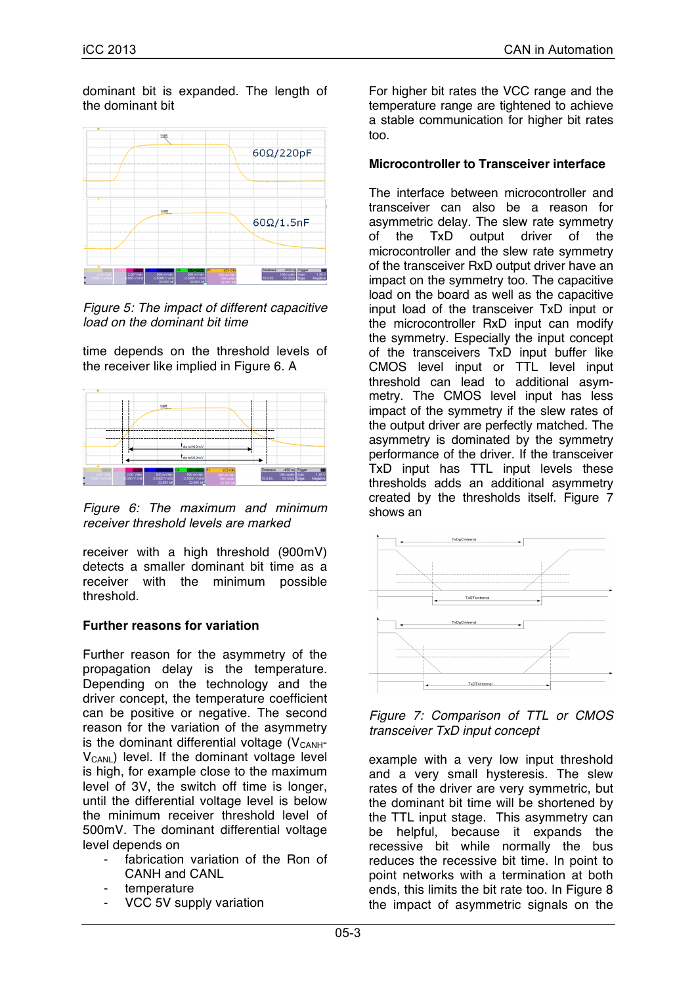dominant bit is expanded. The length of the dominant bit



*Figure 5: The impact of different capacitive load on the dominant bit time*

time depends on the threshold levels of the receiver like implied in Figure 6. A



*Figure 6: The maximum and minimum receiver threshold levels are marked*

receiver with a high threshold (900mV) detects a smaller dominant bit time as a receiver with the minimum possible threshold.

## **Further reasons for variation**

Further reason for the asymmetry of the propagation delay is the temperature. Depending on the technology and the driver concept, the temperature coefficient can be positive or negative. The second reason for the variation of the asymmetry is the dominant differential voltage  $(V_{\text{CANH}})$  $V_{CANI}$ ) level. If the dominant voltage level is high, for example close to the maximum level of 3V, the switch off time is longer, until the differential voltage level is below the minimum receiver threshold level of 500mV. The dominant differential voltage level depends on

- fabrication variation of the Ron of CANH and CANL
- temperature
- VCC 5V supply variation

For higher bit rates the VCC range and the temperature range are tightened to achieve a stable communication for higher bit rates too.

#### **Microcontroller to Transceiver interface**

The interface between microcontroller and transceiver can also be a reason for asymmetric delay. The slew rate symmetry of the TxD output driver of the microcontroller and the slew rate symmetry of the transceiver RxD output driver have an impact on the symmetry too. The capacitive load on the board as well as the capacitive input load of the transceiver TxD input or the microcontroller RxD input can modify the symmetry. Especially the input concept of the transceivers TxD input buffer like CMOS level input or TTL level input threshold can lead to additional asymmetry. The CMOS level input has less impact of the symmetry if the slew rates of the output driver are perfectly matched. The asymmetry is dominated by the symmetry performance of the driver. If the transceiver TxD input has TTL input levels these thresholds adds an additional asymmetry created by the thresholds itself. Figure 7 shows an



*Figure 7: Comparison of TTL or CMOS transceiver TxD input concept*

example with a very low input threshold and a very small hysteresis. The slew rates of the driver are very symmetric, but the dominant bit time will be shortened by the TTL input stage. This asymmetry can be helpful, because it expands the recessive bit while normally the bus reduces the recessive bit time. In point to point networks with a termination at both ends, this limits the bit rate too. In Figure 8 the impact of asymmetric signals on the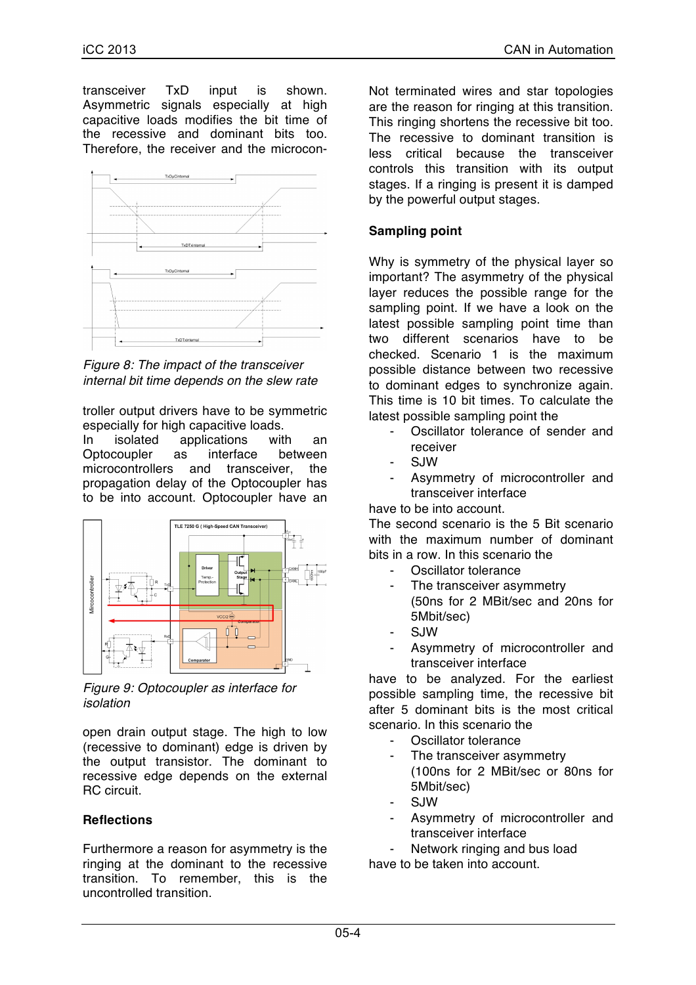transceiver TxD input is shown. Asymmetric signals especially at high capacitive loads modifies the bit time of the recessive and dominant bits too. Therefore, the receiver and the microcon-



*Figure 8: The impact of the transceiver internal bit time depends on the slew rate* 

troller output drivers have to be symmetric especially for high capacitive loads.

In isolated applications with an Optocoupler as interface between microcontrollers and transceiver, the propagation delay of the Optocoupler has to be into account. Optocoupler have an



*Figure 9: Optocoupler as interface for isolation* 

open drain output stage. The high to low (recessive to dominant) edge is driven by the output transistor. The dominant to recessive edge depends on the external RC circuit.

## **Reflections**

Furthermore a reason for asymmetry is the ringing at the dominant to the recessive transition. To remember, this is the uncontrolled transition.

Not terminated wires and star topologies are the reason for ringing at this transition. This ringing shortens the recessive bit too. The recessive to dominant transition is less critical because the transceiver controls this transition with its output stages. If a ringing is present it is damped by the powerful output stages.

# **Sampling point**

Why is symmetry of the physical layer so important? The asymmetry of the physical layer reduces the possible range for the sampling point. If we have a look on the latest possible sampling point time than two different scenarios have to be checked. Scenario 1 is the maximum possible distance between two recessive to dominant edges to synchronize again. This time is 10 bit times. To calculate the latest possible sampling point the

- Oscillator tolerance of sender and receiver
- SJW
- Asymmetry of microcontroller and transceiver interface

have to be into account.

The second scenario is the 5 Bit scenario with the maximum number of dominant bits in a row. In this scenario the

- Oscillator tolerance
	- The transceiver asymmetry (50ns for 2 MBit/sec and 20ns for 5Mbit/sec)
	- SJW
- Asymmetry of microcontroller and transceiver interface

have to be analyzed. For the earliest possible sampling time, the recessive bit after 5 dominant bits is the most critical scenario. In this scenario the

- Oscillator tolerance
- The transceiver asymmetry (100ns for 2 MBit/sec or 80ns for 5Mbit/sec)
- SJW
- Asymmetry of microcontroller and transceiver interface
- Network ringing and bus load

have to be taken into account.